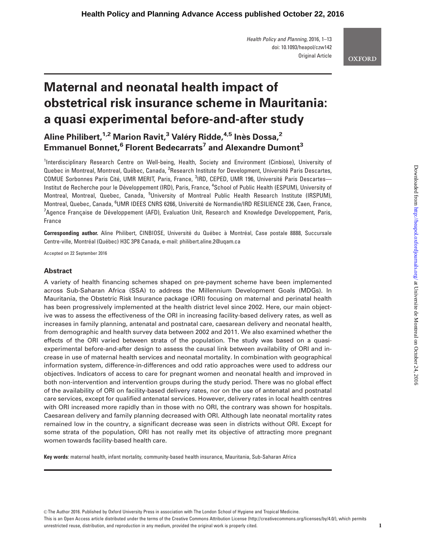Health Policy and Planning, 2016, 1–13 doi: 10.1093/heapol/czw142 Original Article

# **OXFORD**

# Maternal and neonatal health impact of obstetrical risk insurance scheme in Mauritania: a quasi experimental before-and-after study

# Aline Philibert.<sup>1,2</sup> Marion Ravit.<sup>3</sup> Valéry Ridde.<sup>4,5</sup> Inès Dossa.<sup>2</sup> Emmanuel Bonnet,<sup>6</sup> Florent Bedecarrats<sup>7</sup> and Alexandre Dumont<sup>3</sup>

<sup>1</sup>Interdisciplinary Research Centre on Well-being, Health, Society and Environment (Cinbiose), University of Quebec in Montreal, Montreal, Québec, Canada, <sup>2</sup>Research Institute for Development, Université Paris Descartes, COMUE Sorbonnes Paris Cité, UMR MERIT, Paris, France, <sup>3</sup>IRD, CEPED, UMR 196, Université Paris Descartes-Institut de Recherche pour le Développement (IRD), Paris, France, <sup>4</sup>School of Public Health (ESPUM), University of Montreal, Montreal, Quebec, Canada, <sup>5</sup>University of Montreal Public Health Research Institute (IRSPUM), Montreal, Quebec, Canada, <sup>6</sup>UMR IDEES CNRS 6266, Université de Normandie/IRD RESILIENCE 236, Caen, France,  $^7$ Agence Française de Développement (AFD), Evaluation Unit, Research and Knowledge Developpement, Paris, France

Corresponding author. Aline Philibert, CINBIOSE, Université du Québec à Montréal, Case postale 8888, Succursale Centre-ville, Montréal (Québec) H3C 3P8 Canada, e-mail: philibert.aline.2@uqam.ca

Accepted on 22 September 2016

# Abstract

A variety of health financing schemes shaped on pre-payment scheme have been implemented across Sub-Saharan Africa (SSA) to address the Millennium Development Goals (MDGs). In Mauritania, the Obstetric Risk Insurance package (ORI) focusing on maternal and perinatal health has been progressively implemented at the health district level since 2002. Here, our main objective was to assess the effectiveness of the ORI in increasing facility-based delivery rates, as well as increases in family planning, antenatal and postnatal care, caesarean delivery and neonatal health, from demographic and health survey data between 2002 and 2011. We also examined whether the effects of the ORI varied between strata of the population. The study was based on a quasiexperimental before-and-after design to assess the causal link between availability of ORI and increase in use of maternal health services and neonatal mortality. In combination with geographical information system, difference-in-differences and odd ratio approaches were used to address our objectives. Indicators of access to care for pregnant women and neonatal health and improved in both non-intervention and intervention groups during the study period. There was no global effect of the availability of ORI on facility-based delivery rates, nor on the use of antenatal and postnatal care services, except for qualified antenatal services. However, delivery rates in local health centres with ORI increased more rapidly than in those with no ORI, the contrary was shown for hospitals. Caesarean delivery and family planning decreased with ORI. Although late neonatal mortality rates remained low in the country, a significant decrease was seen in districts without ORI. Except for some strata of the population, ORI has not really met its objective of attracting more pregnant women towards facility-based health care.

Key words: maternal health, infant mortality, community-based health insurance, Mauritania, Sub-Saharan Africa

V<sup>C</sup> The Author 2016. Published by Oxford University Press in association with The London School of Hygiene and Tropical Medicine.

This is an Open Access article distributed under the terms of the Creative Commons Attribution License (http://creativecommons.org/licenses/by/4.0/), which permits unrestricted reuse, distribution, and reproduction in any medium, provided the original work is properly cited.  $1$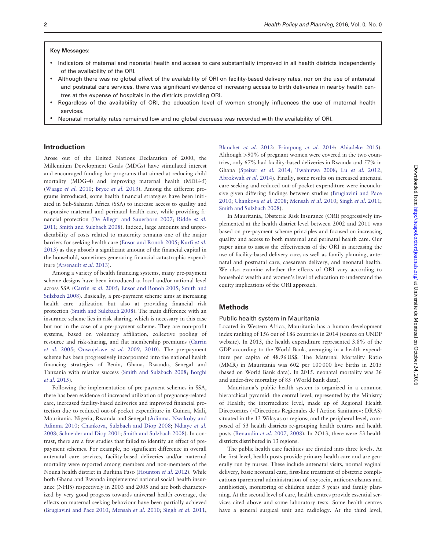#### Key Messages:

- Indicators of maternal and neonatal health and access to care substantially improved in all health districts independently of the availability of the ORI.
- Although there was no global effect of the availability of ORI on facility-based delivery rates, nor on the use of antenatal and postnatal care services, there was significant evidence of increasing access to birth deliveries in nearby health centres at the expense of hospitals in the districts providing ORI.
- Regardless of the availability of ORI, the education level of women strongly influences the use of maternal health services.
- Neonatal mortality rates remained low and no global decrease was recorded with the availability of ORI.

# Introduction

Arose out of the United Nations Declaration of 2000, the Millennium Development Goals (MDGs) have stimulated interest and encouraged funding for programs that aimed at reducing child mortality (MDG-4) and improving maternal health (MDG-5) ([Waage](#page-10-0) et al. 2010; [Bryce](#page-10-0) et al. 2013). Among the different programs introduced, some health financial strategies have been initiated in Sub-Saharan Africa (SSA) to increase access to quality and responsive maternal and perinatal health care, while providing financial protection ([De Allegri and Sauerborn 2007](#page-9-0); [Ridde](#page-10-0) et al. [2011;](#page-10-0) [Smith and Sulzbach 2008](#page-10-0)). Indeed, large amounts and unpredictability of costs related to maternity remains one of the major barriers for seeking health care ([Ensor and Ronoh 2005](#page-10-0); [Kurfi](#page-10-0) et al. [2013\)](#page-10-0) as they absorb a significant amount of the financial capital in the household, sometimes generating financial catastrophic expenditure ([Arsenault](#page-9-0) et al. 2013).

Among a variety of health financing systems, many pre-payment scheme designs have been introduced at local and/or national level across SSA [\(Carrin](#page-10-0) et al. 2005; [Ensor and Ronoh 2005;](#page-10-0) [Smith and](#page-10-0) [Sulzbach 2008\)](#page-10-0). Basically, a pre-payment scheme aims at increasing health care utilization but also at providing financial risk protection ([Smith and Sulzbach 2008\)](#page-10-0). The main difference with an insurance scheme lies in risk sharing, which is necessary in this case but not in the case of a pre-payment scheme. They are non-profit systems, based on voluntary affiliation, collective pooling of resource and risk-sharing, and flat membership premiums ([Carrin](#page-10-0) [et al.](#page-10-0) 2005; [Onwujekwe](#page-10-0) et al. 2009, [2010\)](#page-10-0). The pre-payment scheme has been progressively incorporated into the national health financing strategies of Benin, Ghana, Rwanda, Senegal and Tanzania with relative success ([Smith and Sulzbach 2008](#page-10-0); [Borghi](#page-10-0) et al. [2015](#page-10-0)).

Following the implementation of pre-payment schemes in SSA, there has been evidence of increased utilization of pregnancy-related care, increased facility-based deliveries and improved financial protection due to reduced out-of-pocket expenditure in Guinea, Mali, Mauritania, Nigeria, Rwanda and Senegal [\(Adinma, Nwakoby and](#page-9-0) [Adinma 2010](#page-9-0); [Chankova, Sulzbach and Diop 2008;](#page-10-0) [Ndiaye](#page-10-0) et al. [2008;](#page-10-0) [Schneider and Diop 2001](#page-10-0); [Smith and Sulzbach 2008](#page-10-0)). In contrast, there are a few studies that failed to identify an effect of prepayment schemes. For example, no significant difference in overall antenatal care services, facility-based deliveries and/or maternal mortality were reported among members and non-members of the Nouna health district in Burkina Faso ([Hounton](#page-10-0) et al. 2012). While both Ghana and Rwanda implemented national social health insurance (NHIS) respectively in 2003 and 2005 and are both characterized by very good progress towards universal health coverage, the effects on maternal seeking behaviour have been partially achieved ([Brugiavini and Pace 2010;](#page-10-0) [Mensah](#page-10-0) et al. 2010; [Singh](#page-10-0) et al. 2011; [Blanchet](#page-10-0) et al. 2012; [Frimpong](#page-10-0) et al. 2014; [Ahiadeke 2015](#page-9-0)). Although >90% of pregnant women were covered in the two countries, only 67% had facility-based deliveries in Rwanda and 57% in Ghana ([Speizer](#page-10-0) et al. 2014; [Twahirwa 2008;](#page-10-0) Lu [et al.](#page-10-0) 2012; [Abrokwah](#page-9-0) et al. 2014). Finally, some results on increased antenatal care seeking and reduced out-of-pocket expenditure were inconclusive given differing findings between studies [\(Brugiavini and Pace](#page-10-0) [2010;](#page-10-0) [Chankova](#page-10-0) et al. 2008; [Mensah](#page-10-0) et al. 2010; [Singh](#page-10-0) et al. 2011; [Smith and Sulzbach 2008](#page-10-0)).

In Mauritania, Obstetric Risk Insurance (ORI) progressively implemented at the health district level between 2002 and 2011 was based on pre-payment scheme principles and focused on increasing quality and access to both maternal and perinatal health care. Our paper aims to assess the effectiveness of the ORI in increasing the use of facility-based delivery care, as well as family planning, antenatal and postnatal care, caesarean delivery, and neonatal health. We also examine whether the effects of ORI vary according to household wealth and women's level of education to understand the equity implications of the ORI approach.

### Methods

#### Public health system in Mauritania

Located in Western Africa, Mauritania has a human development index ranking of 156 out of 186 countries in 2014 (source on UNDP website). In 2013, the health expenditure represented 3.8% of the GDP according to the World Bank, averaging in a health expenditure per capita of 48.96 US\$. The Maternal Mortality Ratio (MMR) in Mauritania was 602 per 100 000 live births in 2015 (based on World Bank data). In 2015, neonatal mortality was 36 and under-five mortality of 85 (World Bank data).

Mauritania's public health system is organized in a common hierarchical pyramid: the central level, represented by the Ministry of Health; the intermediate level, made up of Regional Health Directorates («Directions Régionales de l'Action Sanitaire»: DRAS) situated in the 13 Wilayas or regions; and the peripheral level, composed of 53 health districts re-grouping health centres and health posts [\(Renaudin](#page-10-0) et al. 2007, [2008\)](#page-10-0). In 2O13, there were 53 health districts distributed in 13 regions.

The public health care facilities are divided into three levels. At the first level, health posts provide primary health care and are generally run by nurses. These include antenatal visits, normal vaginal delivery, basic neonatal care, first-line treatment of obstetric complications (parenteral administration of oxytocin, anticonvulsants and antibiotics), monitoring of children under 5 years and family planning. At the second level of care, health centres provide essential services cited above and some laboratory tests. Some health centres have a general surgical unit and radiology. At the third level,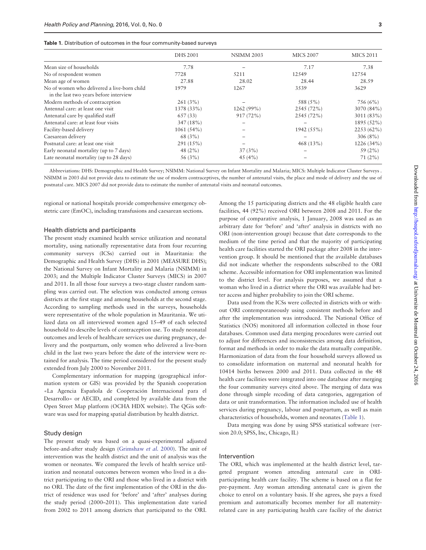| Table 1. Distribution of outcomes in the four community-based surveys |  |
|-----------------------------------------------------------------------|--|
|-----------------------------------------------------------------------|--|

|                                                                                       | <b>DHS 2001</b> | <b>NSIMM 2003</b> | <b>MICS 2007</b> | <b>MICS 2011</b> |
|---------------------------------------------------------------------------------------|-----------------|-------------------|------------------|------------------|
| Mean size of households                                                               | 7.78            |                   | 7.17             | 7.38             |
| No of respondent women                                                                | 7728            | 5211              | 12549            | 12754            |
| Mean age of women                                                                     | 27.88           | 28.02             | 28.44            | 28.59            |
| No of women who delivered a live-born child<br>in the last two years before interview | 1979            | 1267              | 3539             | 3629             |
| Modern methods of contraception                                                       | 261(3%)         |                   | 588 (5%)         | 756 (6%)         |
| Antennal care: at least one visit                                                     | 1378 (33%)      | 1262 (99%)        | 2545 (72%)       | 3070 (84%)       |
| Antenatal care by qualified staff                                                     | 657(33)         | 917(72%)          | 2545 (72%)       | 3011 (83%)       |
| Antenatal care: at least four visits                                                  | 347 (18%)       |                   |                  | 1895 (52%)       |
| Facility-based delivery                                                               | $1061(54\%)$    |                   | 1942 (55%)       | $2253(62\%)$     |
| Caesarean delivery                                                                    | 68 (3%)         |                   |                  | $306(8\%)$       |
| Postnatal care: at least one visit                                                    | 291(15%)        |                   | 468 $(13\%)$     | 1226 (34%)       |
| Early neonatal mortality (up to 7 days)                                               | 48 $(2%)$       | 37(3%)            |                  | 59 $(2\%)$       |
| Late neonatal mortality (up to 28 days)                                               | 56 (3%)         | 45 $(4\%)$        |                  | 71(2%)           |

Abbreviations: DHS: Demographic and Health Survey; NSIMM: National Survey on Infant Mortality and Malaria; MICS: Multiple Indicator Cluster Surveys . NSIMM in 2003 did not provide data to estimate the use of modern contraceptives, the number of antenatal visits, the place and mode of delivery and the use of postnatal care. MICS 2007 did not provide data to estimate the number of antenatal visits and neonatal outcomes.

regional or national hospitals provide comprehensive emergency obstetric care (EmOC), including transfusions and caesarean sections.

#### Health districts and participants

The present study examined health service utilization and neonatal mortality, using nationally representative data from four recurring community surveys (ICSs) carried out in Mauritania: the Demographic and Health Survey (DHS) in 2001 (MEASURE DHS); the National Survey on Infant Mortality and Malaria (NSIMM) in 2003; and the Multiple Indicator Cluster Surveys (MICS) in 2007 and 2011. In all those four surveys a two-stage cluster random sampling was carried out. The selection was conducted among census districts at the first stage and among households at the second stage. According to sampling methods used in the surveys, households were representative of the whole population in Mauritania. We utilized data on all interviewed women aged 15–49 of each selected household to describe levels of contraception use. To study neonatal outcomes and levels of healthcare services use during pregnancy, delivery and the postpartum, only women who delivered a live-born child in the last two years before the date of the interview were retained for analysis. The time period considered for the present study extended from July 2000 to November 2011.

Complementary information for mapping (geographical information system or GIS) was provided by the Spanish cooperation «La Agencia Española de Cooperación Internacional para el Desarrollo» or AECID, and completed by available data from the Open Street Map platform (OCHA HDX website). The QGis software was used for mapping spatial distribution by health district.

#### Study design

The present study was based on a quasi-experimental adjusted before-and-after study design [\(Grimshaw](#page-10-0) et al. 2000). The unit of intervention was the health district and the unit of analysis was the women or neonates. We compared the levels of health service utilization and neonatal outcomes between women who lived in a district participating to the ORI and those who lived in a district with no ORI. The date of the first implementation of the ORI in the district of residence was used for 'before' and 'after' analyses during the study period (2000–2011). This implementation date varied from 2002 to 2011 among districts that participated to the ORI.

Among the 15 participating districts and the 48 eligible health care facilities, 44 (92%) received ORI between 2008 and 2011. For the purpose of comparative analysis, 1 January, 2008 was used as an arbitrary date for 'before' and 'after' analysis in districts with no ORI (non-intervention group) because that date corresponds to the medium of the time period and that the majority of participating health care facilities started the ORI package after 2008 in the intervention group. It should be mentioned that the available databases did not indicate whether the respondents subscribed to the ORI scheme. Accessible information for ORI implementation was limited to the district level. For analysis purposes, we assumed that a woman who lived in a district where the ORI was available had better access and higher probability to join the ORI scheme.

Data used from the ICSs were collected in districts with or without ORI contemporaneously using consistent methods before and after the implementation was introduced. The National Office of Statistics (NOS) monitored all information collected in those four databases. Common used data merging procedures were carried out to adjust for differences and inconsistencies among data definition, format and methods in order to make the data mutually compatible. Harmonization of data from the four household surveys allowed us to consolidate information on maternal and neonatal health for 10414 births between 2000 and 2011. Data collected in the 48 health care facilities were integrated into one database after merging the four community surveys cited above. The merging of data was done through simple recoding of data categories, aggregation of data or unit transformation. The information included use of health services during pregnancy, labour and postpartum, as well as main characteristics of households, women and neonates (Table 1).

Data merging was done by using SPSS statistical software (version 20.0; SPSS, Inc, Chicago, IL)

#### Intervention

The ORI, which was implemented at the health district level, targeted pregnant women attending antenatal care in ORIparticipating health care facility. The scheme is based on a flat fee pre-payment. Any woman attending antenatal care is given the choice to enrol on a voluntary basis. If she agrees, she pays a fixed premium and automatically becomes member for all maternityrelated care in any participating health care facility of the district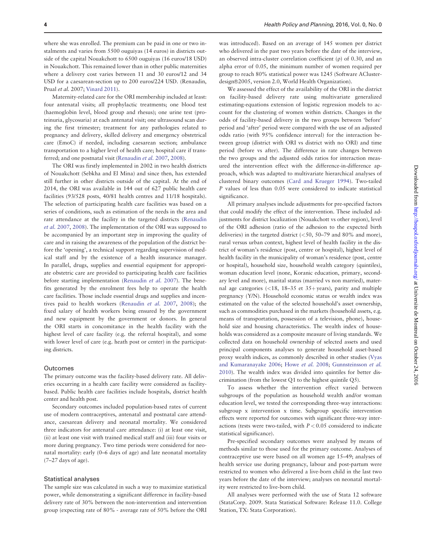where she was enrolled. The premium can be paid in one or two instalments and varies from 5500 ouguiyas (14 euros) in districts outside of the capital Nouakchott to 6500 ouguiyas (16 euros/18 USD) in Nouakchott. This remained lower than in other public maternities where a delivery cost varies between 11 and 30 euros/12 and 34 USD for a caesarean-section up to 200 euros/224 USD. (Renaudin, Prual et al. 2007; [Vinard 2011](#page-10-0)).

Maternity-related care for the ORI membership included at least: four antenatal visits; all prophylactic treatments; one blood test (haemoglobin level, blood group and rhesus); one urine test (proteinuria, glycosuria) at each antenatal visit; one ultrasound scan during the first trimester; treatment for any pathologies related to pregnancy and delivery, skilled delivery and emergency obstetrical care (EmoC) if needed, including caesarean section; ambulance transportation to a higher level of health care; hospital care if transferred; and one postnatal visit ([Renaudin](#page-10-0) et al. 2007, [2008\)](#page-10-0).

The ORI was firstly implemented in 2002 in two health districts of Nouakchott (Sebkha and El Mina) and since then, has extended still further in other districts outside of the capital. At the end of 2014, the ORI was available in 144 out of 627 public health care facilities (93/528 posts, 40/81 health centres and 11/18 hospitals). The selection of participating health care facilities was based on a series of conditions, such as estimation of the needs in the area and rate attendance at the facility in the targeted districts ([Renaudin](#page-10-0) et al. [2007,](#page-10-0) [2008](#page-10-0)). The implementation of the ORI was supposed to be accompanied by an important step in improving the quality of care and in raising the awareness of the population of the district before the 'opening', a technical support regarding supervision of medical staff and by the existence of a health insurance manager. In parallel, drugs, supplies and essential equipment for appropriate obstetric care are provided to participating health care facilities before starting implementation ([Renaudin](#page-10-0) et al. 2007). The benefits generated by the enrolment fees help to operate the health care facilities. Those include essential drugs and supplies and incentives paid to health workers [\(Renaudin](#page-10-0) et al. 2007, [2008](#page-10-0)); the fixed salary of health workers being ensured by the government and new equipment by the government or donors. In general the ORI starts in concomitance in the health facility with the highest level of care facility (e.g. the referral hospital), and some with lower level of care (e.g. heath post or center) in the participating districts.

#### **Outcomes**

The primary outcome was the facility-based delivery rate. All deliveries occurring in a health care facility were considered as facilitybased. Public health care facilities include hospitals, district health center and health post.

Secondary outcomes included population-based rates of current use of modern contraceptives, antenatal and postnatal care attendance, caesarean delivery and neonatal mortality. We considered three indicators for antenatal care attendance: (i) at least one visit, (ii) at least one visit with trained medical staff and (iii) four visits or more during pregnancy. Two time periods were considered for neonatal mortality: early (0–6 days of age) and late neonatal mortality (7–27 days of age).

#### Statistical analyses

The sample size was calculated in such a way to maximize statistical power, while demonstrating a significant difference in facility-based delivery rate of 30% between the non-intervention and intervention group (expecting rate of 80% - average rate of 50% before the ORI

was introduced). Based on an average of 145 women per district who delivered in the past two years before the date of the interview, an observed intra-cluster correlation coefficient (q) of 0.30, and an alpha error of 0.05, the minimum number of women required per group to reach 80% statistical power was 1245 (Software AClusterdesign® 2005, version 2.0, World Health Organization).

We assessed the effect of the availability of the ORI in the district on facility-based delivery rate using multivariate generalized estimating-equations extension of logistic regression models to account for the clustering of women within districts. Changes in the odds of facility-based delivery in the two groups between 'before' period and 'after' period were compared with the use of an adjusted odds ratio (with 95% confidence interval) for the interaction between group (district with ORI vs district with no ORI) and time period (before vs after). The difference in rate changes between the two groups and the adjusted odds ratios for interaction measured the intervention effect with the difference-in-difference approach, which was adapted to multivariate hierarchical analyses of clustered binary outcomes [\(Card and Krueger 1994](#page-10-0)). Two-tailed P values of less than 0.05 were considered to indicate statistical significance.

All primary analyses include adjustments for pre-specified factors that could modify the effect of the intervention. These included adjustments for district localization (Nouakchott vs other region), level of the ORI adhesion (ratio of the adhesion to the expected birth deliveries) in the targeted district  $(<50, 50-79$  and 80% and more), rural versus urban context, highest level of health facility in the district of woman's residence (post, centre or hospital), highest level of health facility in the municipality of woman's residence (post, centre or hospital), household size, household wealth category (quintiles), woman education level (none, Koranic education, primary, secondary level and more), marital status (married vs non married), maternal age categories  $\left( < 18, 18-35 \right)$  et 35+years), parity and multiple pregnancy (Y/N). Household economic status or wealth index was estimated on the value of the selected household's asset ownership, such as commodities purchased in the markets (household assets, e.g. means of transportation, possession of a television, phone), household size and housing characteristics. The wealth index of households was considered as a composite measure of living standards. We collected data on household ownership of selected assets and used principal components analyses to generate household asset-based proxy wealth indices, as commonly described in other studies [\(Vyas](#page-10-0) [and Kumaranayake 2006;](#page-10-0) [Howe](#page-10-0) et al. 2008; [Gunnsteinsson](#page-10-0) et al. [2010\)](#page-10-0). The wealth index was divided into quintiles for better discrimination (from the lowest Q1 to the highest quintile Q5).

To assess whether the intervention effect varied between subgroups of the population as household wealth and/or woman education level, we tested the corresponding three-way interactions: subgroup x intervention x time. Subgroup specific intervention effects were reported for outcomes with significant three-way interactions (tests were two-tailed, with  $P < 0.05$  considered to indicate statistical significance).

Pre-specified secondary outcomes were analysed by means of methods similar to those used for the primary outcome. Analyses of contraceptive use were based on all women age 15–49; analyses of health service use during pregnancy, labour and post-partum were restricted to women who delivered a live-born child in the last two years before the date of the interview; analyses on neonatal mortality were restricted to live-born child.

All analyses were performed with the use of Stata 12 software (StataCorp. 2009. Stata Statistical Software: Release 11.0. College Station, TX: Stata Corporation).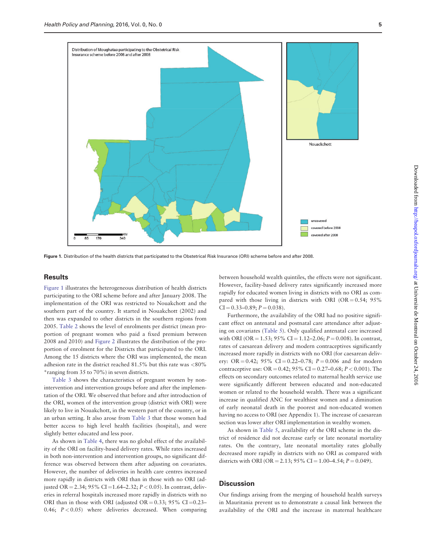

Figure 1. Distribution of the health districts that participated to the Obstetrical Risk Insurance (ORI) scheme before and after 2008.

#### **Results**

Figure 1 illustrates the heterogeneous distribution of health districts participating to the ORI scheme before and after January 2008. The implementation of the ORI was restricted to Nouakchott and the southern part of the country. It started in Nouakchott (2002) and then was expanded to other districts in the southern regions from 2005. [Table 2](#page-5-0) shows the level of enrolments per district (mean proportion of pregnant women who paid a fixed premium between 2008 and 2010) and [Figure 2](#page-5-0) illustrates the distribution of the proportion of enrolment for the Districts that participated to the ORI. Among the 15 districts where the ORI was implemented, the mean adhesion rate in the district reached  $81.5\%$  but this rate was <80% \*ranging from 35 to 70%) in seven districts.

[Table 3](#page-6-0) shows the characteristics of pregnant women by nonintervention and intervention groups before and after the implementation of the ORI. We observed that before and after introduction of the ORI, women of the intervention group (district with ORI) were likely to live in Nouakchott, in the western part of the country, or in an urban setting. It also arose from [Table 3](#page-6-0) that those women had better access to high level health facilities (hospital), and were slightly better educated and less poor.

As shown in [Table 4,](#page-7-0) there was no global effect of the availability of the ORI on facility-based delivery rates. While rates increased in both non-intervention and intervention groups, no significant difference was observed between them after adjusting on covariates. However, the number of deliveries in health care centres increased more rapidly in districts with ORI than in those with no ORI (adjusted OR = 2.34; 95% CI = 1.64–2.32;  $P < 0.05$ ). In contrast, deliveries in referral hospitals increased more rapidly in districts with no ORI than in those with ORI (adjusted OR =  $0.33$ ; 95% CI =  $0.23$ – 0.46;  $P < 0.05$ ) where deliveries decreased. When comparing

between household wealth quintiles, the effects were not significant. However, facility-based delivery rates significantly increased more rapidly for educated women living in districts with no ORI as compared with those living in districts with ORI (OR =  $0.54$ ; 95%  $CI = 0.33-0.89; P = 0.038$ .

Furthermore, the availability of the ORI had no positive significant effect on antenatal and postnatal care attendance after adjusting on covariates ([Table 5\)](#page-8-0). Only qualified antenatal care increased with ORI (OR = 1.53; 95% CI = 1.12–2.06;  $P = 0.008$ ). In contrast, rates of caesarean delivery and modern contraceptives significantly increased more rapidly in districts with no ORI (for caesarean delivery: OR = 0.42; 95% CI = 0.22–0.78;  $P = 0.006$  and for modern contraceptive use: OR = 0.42; 95% CI = 0.27–0.68;  $P < 0.001$ ). The effects on secondary outcomes related to maternal health service use were significantly different between educated and non-educated women or related to the household wealth. There was a significant increase in qualified ANC for wealthiest women and a diminution of early neonatal death in the poorest and non-educated women having no access to ORI (see Appendix 1). The increase of caesarean section was lower after ORI implementation in wealthy women.

As shown in [Table 5,](#page-8-0) availability of the ORI scheme in the district of residence did not decrease early or late neonatal mortality rates. On the contrary, late neonatal mortality rates globally decreased more rapidly in districts with no ORI as compared with districts with ORI (OR = 2.13; 95% CI = 1.00–4.54;  $P = 0.049$ ).

# **Discussion**

Our findings arising from the merging of household health surveys in Mauritania prevent us to demonstrate a causal link between the availability of the ORI and the increase in maternal healthcare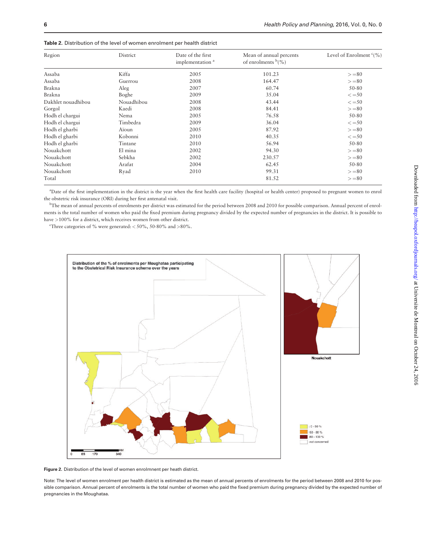| Region             | District   | Date of the first<br>implementation <sup>a</sup> | Mean of annual percents<br>of enrolments $\frac{b}{\sqrt{6}}$ | Level of Enrolment $c(\%)$ |
|--------------------|------------|--------------------------------------------------|---------------------------------------------------------------|----------------------------|
| Assaba             | Kiffa      | 2005                                             | 101.23                                                        | $>= 80$                    |
| Assaba             | Guerrou    | 2008                                             | 164.47                                                        | $>= 80$                    |
| Brakna             | Aleg       | 2007                                             | 60.74                                                         | 50-80                      |
| Brakna             | Boghe      | 2009                                             | 35.04                                                         | $\leq$ = 50                |
| Dakhlet nouadhibou | Nouadhibou | 2008                                             | 43.44                                                         | $\leq$ = 50                |
| Gorgol             | Kaedi      | 2008                                             | 84.41                                                         | $>= 80$                    |
| Hodh el chargui    | Nema       | 2005                                             | 76.58                                                         | 50-80                      |
| Hodh el chargui    | Timbedra   | 2009                                             | 36.04                                                         | $\leq$ = 50                |
| Hodh el gharbi     | Aïoun      | 2005                                             | 87.92                                                         | $>= 80$                    |
| Hodh el gharbi     | Kobonni    | 2010                                             | 40.35                                                         | $\leq$ = 50                |
| Hodh el gharbi     | Tintane    | 2010                                             | 56.94                                                         | 50-80                      |
| Nouakchott         | El mina    | 2002                                             | 94.30                                                         | $>= 80$                    |
| Nouakchott         | Sebkha     | 2002                                             | 230.57                                                        | $>= 80$                    |
| Nouakchott         | Arafat     | 2004                                             | 62.45                                                         | 50-80                      |
| Nouakchott         | Ryad       | 2010                                             | 99.31                                                         | $>= 80$                    |
| Total              |            |                                                  | 81.52                                                         | $>= 80$                    |

<span id="page-5-0"></span>

| Table 2. Distribution of the level of women enrolment per health district |  |  |
|---------------------------------------------------------------------------|--|--|
|---------------------------------------------------------------------------|--|--|

a Date of the first implementation in the district is the year when the first health care facility (hospital or health center) proposed to pregnant women to enrol the obstetric risk insurance (ORI) during her first antenatal visit.

b The mean of annual percents of enrolments per district was estimated for the period between 2008 and 2010 for possible comparison. Annual percent of enrolments is the total number of women who paid the fixed premium during pregnancy divided by the expected number of pregnancies in the district. It is possible to have >100% for a district, which receives women from other district.

Three categories of % were generated:  $<$  50%, 50-80% and >80%.



Figure 2. Distribution of the level of women enrolmnent per heath district.

Note: The level of women enrolment per health district is estimated as the mean of annual percents of enrolments for the period between 2008 and 2010 for possible comparison. Annual percent of enrolments is the total number of women who paid the fixed premium during pregnancy divided by the expected number of pregnancies in the Moughataa.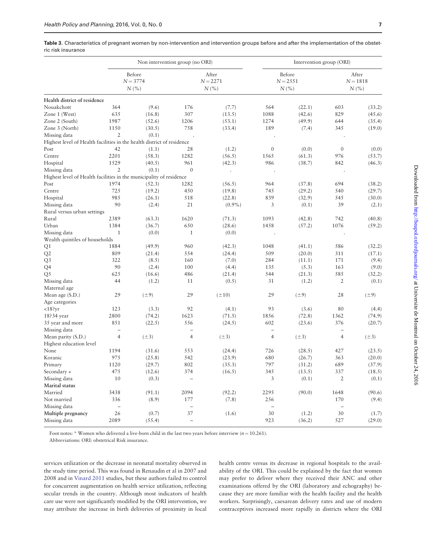<span id="page-6-0"></span>Table 3. Characteristics of pregnant women by non-intervention and intervention groups before and after the implementation of the obstetric risk insurance

|                                                                        |                          |                             | Non intervention group (no ORI) |                            |                          |                             | Intervention group (ORI) |                              |
|------------------------------------------------------------------------|--------------------------|-----------------------------|---------------------------------|----------------------------|--------------------------|-----------------------------|--------------------------|------------------------------|
|                                                                        |                          | Before<br>$N = 3774$<br>N(% |                                 | After<br>$N = 2271$<br>N(% |                          | Before<br>$N = 2551$<br>N(% |                          | After<br>$N = 1818$<br>N(% ) |
| Health district of residence                                           |                          |                             |                                 |                            |                          |                             |                          |                              |
| Nouakchott                                                             | 364                      | (9.6)                       | 176                             | (7.7)                      | 564                      | (22.1)                      | 603                      | (33.2)                       |
| Zone 1 (West)                                                          | 635                      | (16.8)                      | 307                             | (13.5)                     | 1088                     | (42.6)                      | 829                      | (45.6)                       |
| Zone 2 (South)                                                         | 1987                     | (52.6)                      | 1206                            | (53.1)                     | 1274                     | (49.9)                      | 644                      | (35.4)                       |
| Zone 3 (North)                                                         | 1150                     | (30.5)                      | 758                             | (33.4)                     | 189                      | (7.4)                       | 345                      | (19.0)                       |
| Missing data                                                           | $\mathfrak{2}$           | (0.1)                       |                                 |                            |                          |                             |                          |                              |
| Highest level of Health facilities in the health district of residence |                          |                             |                                 |                            |                          |                             |                          |                              |
| Post                                                                   | 42                       | (1.1)                       | 28                              | (1.2)                      | $\boldsymbol{0}$         | (0.0)                       | $\mathbf{0}$             | (0.0)                        |
| Centre                                                                 | 2201                     | (58.3)                      | 1282                            | (56.5)                     | 1565                     | (61.3)                      | 976                      | (53.7)                       |
| Hospital                                                               | 1529                     | (40.5)                      | 961                             | (42.3)                     | 986                      | (38.7)                      | 842                      | (46.3)                       |
| Missing data                                                           | $\overline{2}$           | (0.1)                       | $\mathbf{0}$                    | $\cdot$                    |                          |                             |                          |                              |
| Highest level of Health facilities in the municipality of residence    |                          |                             |                                 |                            |                          |                             |                          |                              |
| Post                                                                   | 1974                     | (52.3)                      | 1282                            | (56.5)                     | 964                      | (37.8)                      | 694                      | (38.2)                       |
| Centre                                                                 | 725                      | (19.2)                      | 450                             | (19.8)                     | 745                      | (29.2)                      | 540                      | (29.7)                       |
| Hospital                                                               | 985                      | (26.1)                      | 518                             | (22.8)                     | 839                      | (32.9)                      | 545                      | (30.0)                       |
| Missing data                                                           | 90                       | (2.4)                       | 21                              | $(0.9\%)$                  | 3                        | (0.1)                       | 39                       | (2.1)                        |
| Rural versus urban settings                                            |                          |                             |                                 |                            |                          |                             |                          |                              |
| Rural                                                                  | 2389                     | (63.3)                      | 1620                            | (71.3)                     | 1093                     | (42.8)                      | 742                      | (40.8)                       |
| Urban                                                                  | 1384                     | (36.7)                      | 650                             | (28.6)                     | 1458                     | (57.2)                      | 1076                     | (59.2)                       |
| Missing data                                                           | $\mathbf{1}$             | (0.0)                       | $\mathbf{1}$                    | (0.0)                      |                          |                             |                          |                              |
| Wealth quintiles of households                                         |                          |                             |                                 |                            |                          |                             |                          |                              |
| Q1                                                                     | 1884                     | (49.9)                      | 960                             | (42.3)                     | 1048                     | (41.1)                      | 586                      | (32.2)                       |
| Q2                                                                     | 809                      | (21.4)                      | 554                             | (24.4)                     | 509                      | (20.0)                      | 311                      | (17.1)                       |
| Q <sub>3</sub>                                                         | 322                      | (8.5)                       | 160                             | (7.0)                      | 284                      | (11.1)                      | 171                      | (9.4)                        |
| Q4                                                                     | 90                       | (2.4)                       | 100                             | (4.4)                      | 135                      | (5.3)                       | 163                      | (9.0)                        |
| Q5                                                                     | 625                      | (16.6)                      | 486                             | (21.4)                     | 544                      | (21.3)                      | 585                      | (32.2)                       |
| Missing data                                                           | 44                       | (1.2)                       | 11                              | (0.5)                      | 31                       | (1.2)                       | $\overline{2}$           | (0.1)                        |
| Maternal age                                                           |                          |                             |                                 |                            |                          |                             |                          |                              |
| Mean age (S.D.)                                                        | 29                       | $(\pm 9)$                   | 29                              | $(\pm 10)$                 | 29                       | $(\pm 9)$                   | 28                       | $(\pm 9)$                    |
| Age categories                                                         |                          |                             |                                 |                            |                          |                             |                          |                              |
| $<$ 18?yr                                                              | 123                      | (3.3)                       | 92                              | (4.1)                      | 93                       | (3.6)                       | 80                       | (4.4)                        |
| 18?34 year                                                             | 2800                     | (74.2)                      | 1623                            | (71.5)                     | 1856                     | (72.8)                      | 1362                     | (74.9)                       |
| 35 year and more                                                       | 851                      | (22.5)                      | 556                             | (24.5)                     | 602                      | (23.6)                      | 376                      | (20.7)                       |
| Missing data                                                           | $\overline{\phantom{a}}$ |                             | $\overline{\phantom{0}}$        |                            | $\equiv$                 |                             | $\overline{\phantom{0}}$ |                              |
| Mean parity (S.D.)                                                     | $\overline{4}$           | $(\pm 3)$                   | $\overline{4}$                  | $(\pm 3)$                  | $\overline{4}$           | $(\pm 3)$                   | $\overline{4}$           | $(\pm 3)$                    |
| Highest education level                                                |                          |                             |                                 |                            |                          |                             |                          |                              |
| None                                                                   | 1194                     | (31.6)                      | 553                             | (24.4)                     | 726                      | (28.5)                      | 427                      | (23.5)                       |
| Koranic                                                                | 975                      | (25.8)                      | 542                             | (23.9)                     | 680                      | (26.7)                      | 363                      | (20.0)                       |
| Primary                                                                | 1120                     | (29.7)                      | 802                             | (35.3)                     | 797                      | (31.2)                      | 689                      | (37.9)                       |
| Secondary +                                                            | 475                      | (12.6)                      | 374                             | (16.5)                     | 345                      | (13.5)                      | 337                      | (18.5)                       |
| Missing data                                                           | 10                       | (0.3)                       |                                 |                            | 3                        | (0.1)                       | $\overline{2}$           | (0.1)                        |
| Marital status                                                         |                          |                             |                                 |                            |                          |                             |                          |                              |
| Married                                                                | 3438                     | (91.1)                      | 2094                            | (92.2)                     | 2295                     | (90.0)                      | 1648                     | (90.6)                       |
| Not married                                                            | 336                      | (8.9)                       | $177\,$                         | (7.8)                      | 256                      |                             | 170                      | (9.4)                        |
| Missing data                                                           | -                        |                             | -                               |                            | $\overline{\phantom{a}}$ |                             | $\qquad \qquad -$        |                              |
| Multiple pregnancy                                                     | 26                       | (0.7)                       | $37\,$                          | (1.6)                      | 30                       | (1.2)                       | $30\,$                   | (1.7)                        |
| Missing data                                                           | 2089                     | (55.4)                      | $\bar{ }$                       |                            | 923                      | (36.2)                      | 527                      | (29.0)                       |
|                                                                        |                          |                             |                                 |                            |                          |                             |                          |                              |

Foot notes: \* Women who delivered a live-born child in the last two years before interview ( $n = 10.261$ ).

Abbreviations: ORI: obstetrical Risk insurance.

services utilization or the decrease in neonatal mortality observed in the study time period. This was found in Renaudin et al in 2007 and 2008 and in [Vinard 2011](#page-10-0) studies, but these authors failed to control for concurrent augmentation on health service utilization, reflecting secular trends in the country. Although most indicators of health care use were not significantly modified by the ORI intervention, we may attribute the increase in birth deliveries of proximity in local health centre versus its decrease in regional hospitals to the availability of the ORI. This could be explained by the fact that women may prefer to deliver where they received their ANC and other examinations offered by the ORI (laboratory and echography) because they are more familiar with the health facility and the health workers. Surprisingly, caesarean delivery rates and use of modern contraceptives increased more rapidly in districts where the ORI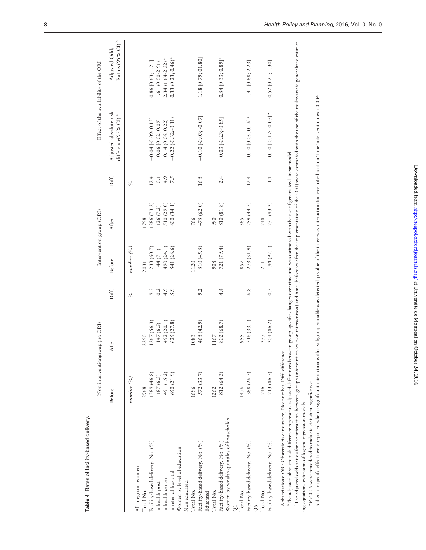<span id="page-7-0"></span>

|                                                                                                                                                                                                                                                                                                                                                                                                                                                                                          |                                                            | Non interventiongroup (no ORI) |        | Intervention group (ORI) |             |                  |                                                           | Effect of the availability of the ORI       |
|------------------------------------------------------------------------------------------------------------------------------------------------------------------------------------------------------------------------------------------------------------------------------------------------------------------------------------------------------------------------------------------------------------------------------------------------------------------------------------------|------------------------------------------------------------|--------------------------------|--------|--------------------------|-------------|------------------|-----------------------------------------------------------|---------------------------------------------|
|                                                                                                                                                                                                                                                                                                                                                                                                                                                                                          | Before                                                     | After                          | Diff.  | Before                   | After       | Diff.            | Adjusted absolute risk<br>difference(95% CI) <sup>a</sup> | Ratios (95% CI) $^{\rm b}$<br>Adjusted Odds |
|                                                                                                                                                                                                                                                                                                                                                                                                                                                                                          | number (%)                                                 |                                | $\%$   | number (%)               |             | $\%$             |                                                           |                                             |
| All pregnant women                                                                                                                                                                                                                                                                                                                                                                                                                                                                       |                                                            |                                |        |                          |             |                  |                                                           |                                             |
| Total No.                                                                                                                                                                                                                                                                                                                                                                                                                                                                                | 2968                                                       | 2250                           |        | 2031                     | 1758        |                  |                                                           |                                             |
| Facility-based delivery. No. (%)                                                                                                                                                                                                                                                                                                                                                                                                                                                         | 1389 (46.8)                                                | 1267 (56.3                     | 9.5    | 1233(60.7)               | 1286 (73.2) | 12.4             | $-0.04$ $[-0.09; 0.13]$                                   | $0.86$ [0.63; 1.21]                         |
| in health post                                                                                                                                                                                                                                                                                                                                                                                                                                                                           |                                                            | 147(6.5)                       | 0.2    | 144 (7.1)                | 126(7.2)    | 0.1              | $0.06$ [0.02; 0.09]                                       | $1.61(0.90-2.91)$                           |
| in health center                                                                                                                                                                                                                                                                                                                                                                                                                                                                         | $\begin{array}{c} 187 \,(6.3) \\ 451 \,(15.2) \end{array}$ | 452 (20.1)                     | 4.9    | 490 (24.1)               | 510 (29.0)  | 4.9              | 0.14(0.06; 0.22)                                          | $2.34(1.64 - 2.32)^*$                       |
| in referral hospital                                                                                                                                                                                                                                                                                                                                                                                                                                                                     | 650 (21.9)                                                 | 625 (27.8)                     | 5.9    | 541 (26.6)               | 600 (34.1)  | $\overline{7.5}$ | $-0.22(-0.32; -0.11)$                                     | $0.33(0.23; 0.46)$ *                        |
| Women by level of education<br>Non educated                                                                                                                                                                                                                                                                                                                                                                                                                                              |                                                            |                                |        |                          |             |                  |                                                           |                                             |
| Total No.                                                                                                                                                                                                                                                                                                                                                                                                                                                                                | 1696                                                       | 1083                           |        | 1120                     | 766         |                  |                                                           |                                             |
| Facility-based delivery. No. (%)                                                                                                                                                                                                                                                                                                                                                                                                                                                         | 572 (33.7)                                                 | 465(42.9)                      | 9.2    | 510(45.5)                | 475 (62.0)  | 16.5             | $-0.10$ [ $-0.03$ ; $-0.07$ ]                             | 1.18 [0.79; 01.80]                          |
| Educated                                                                                                                                                                                                                                                                                                                                                                                                                                                                                 |                                                            |                                |        |                          |             |                  |                                                           |                                             |
| Total No.                                                                                                                                                                                                                                                                                                                                                                                                                                                                                | 1262                                                       | 1167                           |        | 908                      | 990         |                  |                                                           |                                             |
| Facility-based delivery. No. (%)                                                                                                                                                                                                                                                                                                                                                                                                                                                         | 812(64.3)                                                  | 802 (68.7)                     | 4.4    | 721(79.4)                | 810 (81.8)  | 2.4              | $0.03[-0.23; -0.85]$                                      | $0.54$ [0.33; 0.89]*                        |
| Women by wealth quintiles of households                                                                                                                                                                                                                                                                                                                                                                                                                                                  |                                                            |                                |        |                          |             |                  |                                                           |                                             |
|                                                                                                                                                                                                                                                                                                                                                                                                                                                                                          |                                                            |                                |        |                          |             |                  |                                                           |                                             |
| Total No.                                                                                                                                                                                                                                                                                                                                                                                                                                                                                | 1476                                                       | 955                            |        | 857                      | 585         |                  |                                                           |                                             |
| Facility-based delivery. No. (%)                                                                                                                                                                                                                                                                                                                                                                                                                                                         | 388 (26.3)                                                 | 316 (33.1)                     | 6.8    | 273 (31.9)               | 259 (44.3)  | 12.4             | $0.10$ [0.05; 0.16]*                                      | 1.41 [0.88; 2.23]                           |
|                                                                                                                                                                                                                                                                                                                                                                                                                                                                                          |                                                            |                                |        |                          |             |                  |                                                           |                                             |
| Total No.                                                                                                                                                                                                                                                                                                                                                                                                                                                                                | 246                                                        | 237                            |        | 211                      | 248         |                  |                                                           |                                             |
| Facility-based delivery. No. (%)                                                                                                                                                                                                                                                                                                                                                                                                                                                         | 213 (86.5)                                                 | 204 (86.2)                     | $-0.3$ | 194(92.1)                | 231 (93.2)  | $\Box$           | $-0.10$ [ $-0.17$ ; $-0.03$ ]*                            | $0.52$ [0.21; 1.30]                         |
| "The adjusted odds ratios for the interaction between groups (intervention) snet rerevention) and time (before vs after the implementation of the ORI) were estimated with the use of the multivariate generalized estimat-<br>"The adjusted absolute risk difference represents adjusted differences between group-specific changes over time and was estimated with the use of generalized linear model<br>Abbreviations: ORI: Obstetric risk insurance; No: number; Diff: difference. |                                                            |                                |        |                          |             |                  |                                                           |                                             |
|                                                                                                                                                                                                                                                                                                                                                                                                                                                                                          | $\frac{1}{2}$                                              |                                |        |                          |             |                  |                                                           |                                             |

Table 4. Rates of facility-based delivery. Table 4. Rates of facility-based delivery.

ing-equations extension of logistic regression models. ing-equations extension of logistic regression models.

 $*P < 0.05$  were considered to indicate statistical significance.

\*P < 0.05 were considered to indicate statistical significance.<br>Subgroup-specific effects were reported when a significant interaction with a subgroup variable was detected. p value of the three-way interaction for level o Subgroup-specific effects were reported when a significant interaction with a subgroup variable was detected. p value of the three-way interaction for level of education\*time\*intervention was 0.034.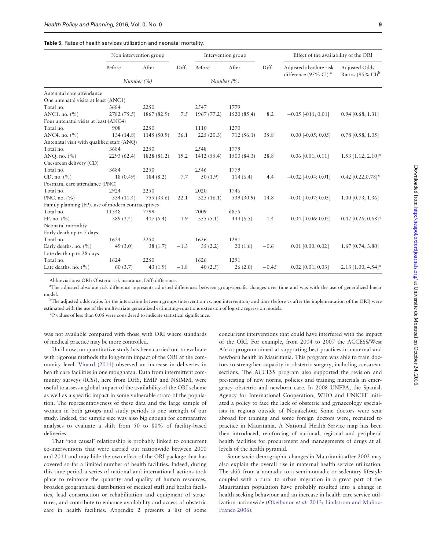#### <span id="page-8-0"></span>Table 5. Rates of health services utilization and neonatal mortality.

|                                                    | Non intervention group |             |        |             | Intervention group |         | Effect of the availability of the ORI                      |                                                |
|----------------------------------------------------|------------------------|-------------|--------|-------------|--------------------|---------|------------------------------------------------------------|------------------------------------------------|
|                                                    | Before                 | After       | Diff.  | Before      | After              | Diff.   | Adjusted absolute risk<br>difference (95% CI) <sup>a</sup> | Adjusted Odds<br>Ratios (95% $CI$ <sup>b</sup> |
|                                                    | Number $(\%)$          |             |        |             | Number $(\%)$      |         |                                                            |                                                |
| Antenatal care attendance                          |                        |             |        |             |                    |         |                                                            |                                                |
| One antenatal visita at least (ANC1)               |                        |             |        |             |                    |         |                                                            |                                                |
| Total no.                                          | 3684                   | 2250        |        | 2547        | 1779               |         |                                                            |                                                |
| ANC1. no. $(\% )$                                  | 2782 (75.5)            | 1867 (82.9) | 7.5    | 1967 (77.2) | 1520 (85.4)        | 8.2     | $-0.05$ [ $-011; 0.01$ ]                                   | $0.94$ [0.68; 1.31]                            |
| Four antenatal visits at least (ANC4)              |                        |             |        |             |                    |         |                                                            |                                                |
| Total no.                                          | 908                    | 2250        |        | 1110        | 1270               |         |                                                            |                                                |
| ANC4. no. $(\% )$                                  | 134(14.8)              | 1145 (50.9) | 36.1   | 225(20.3)   | 712(56.1)          | 35.8    | $0.00$ [ $-0.05$ ; $0.05$ ]                                | $0.78$ [0.58; 1.05]                            |
| Antenatal visit with qualified staff (ANQ)         |                        |             |        |             |                    |         |                                                            |                                                |
| Total no.                                          | 3684                   | 2250        |        | 2548        | 1779               |         |                                                            |                                                |
| ANQ. no. $(\% )$                                   | 2293 (62.4)            | 1828 (81.2) | 19.2   | 1412 (55.4) | 1500 (84.3)        | 28.8    | $0.06$ [0.01; 0.11]                                        | $1.53$ [1.12; 2.10]*                           |
| Caesarean delivery (CD)                            |                        |             |        |             |                    |         |                                                            |                                                |
| Total no.                                          | 3684                   | 2250        |        | 2546        | 1779               |         |                                                            |                                                |
| CD. no. $(\% )$                                    | 18(0.49)               | 184(8.2)    | 7.7    | 50(1.9)     | 114(6.4)           | 4.4     | $-0.02$ [ $-0.04$ ; 0.01]                                  | $0.42$ [0.22;0.78]*                            |
| Postnatal care attendance (PNC)                    |                        |             |        |             |                    |         |                                                            |                                                |
| Total no.                                          | 2924                   | 2250        |        | 2020        | 1746               |         |                                                            |                                                |
| PNC. no. $(\% )$                                   | 334 (11.4)             | 755 (33.6)  | 22.1   | 325(16.1)   | 539 (30.9)         | 14.8    | $-0.01$ [ $-0.07$ ; 0.05]                                  | $1.00$ [0.73; 1.36]                            |
| Family planning (FP), use of modern contraceptives |                        |             |        |             |                    |         |                                                            |                                                |
| Total no.                                          | 11348                  | 7799        |        | 7009        | 6875               |         |                                                            |                                                |
| FP. no. $(\% )$                                    | 389 (3.4)              | 417(5.4)    | 1.9    | 355(5.1)    | 444 $(6.5)$        | 1.4     | $-0.04$ [ $-0.06$ ; 0.02]                                  | $0.42$ [0.26; 0.68]*                           |
| Neonatal mortality                                 |                        |             |        |             |                    |         |                                                            |                                                |
| Early death up to 7 days                           |                        |             |        |             |                    |         |                                                            |                                                |
| Total no.                                          | 1624                   | 2250        |        | 1626        | 1291               |         |                                                            |                                                |
| Early deaths. no. $(\%)$                           | 49(3.0)                | 38(1.7)     | $-1.3$ | 35(2.2)     | 20(1.6)            | $-0.6$  | $0.01$ [0.00; 0.02]                                        | $1.67$ [0.74; 3.80]                            |
| Late death up to 28 days                           |                        |             |        |             |                    |         |                                                            |                                                |
| Total no.                                          | 1624                   | 2250        |        | 1626        | 1291               |         |                                                            |                                                |
| Late deaths. no. $(\% )$                           | 60(3.7)                | 43(1.9)     | $-1.8$ | 40(2.5)     | 26(2.0)            | $-0.45$ | $0.02$ [0.01; 0.03]                                        | $2.13$ [1.00; 4.54]*                           |

Abbreviations: ORI: Obsteric risk insurance, Diff: difference.

<sup>a</sup>The adjusted absolute risk difference represents adjusted differences between group-specific changes over time and was with the use of generalized linear model.

<sup>b</sup>The adjusted odds ratios for the interaction between groups (intervention vs. non intervention) and time (before vs after the implementation of the ORI) were estimated with the use of the multivariate generalized estimating-equations extension of logistic regression models.

\*P values of less than 0.05 were considered to indicate statistical significance.

was not available compared with those with ORI where standards of medical practice may be more controlled.

Until now, no quantitative study has been carried out to evaluate with rigorous methods the long-term impact of the ORI at the community level. [Vinard \(2011\)](#page-10-0) observed an increase in deliveries in health care facilities in one moughataa. Data from intermittent community surveys (ICSs), here from DHS, EMIP and NSIMM, were useful to assess a global impact of the availability of the ORI scheme as well as a specific impact in some vulnerable strata of the population. The representativeness of these data and the large sample of women in both groups and study periods is one strength of our study. Indeed, the sample size was also big enough for comparative analyses to evaluate a shift from 50 to 80% of facility-based deliveries.

That 'non causal' relationship is probably linked to concurrent co-interventions that were carried out nationwide between 2000 and 2011 and may hide the own effect of the ORI package that has covered so far a limited number of health facilities. Indeed, during this time period a series of national and international actions took place to reinforce the quantity and quality of human resources, broaden geographical distribution of medical staff and health facilities, lead construction or rehabilitation and equipment of structures, and contribute to enhance availability and access of obstetric care in health facilities. Appendix 2 presents a list of some

concurrent interventions that could have interfered with the impact of the ORI. For example, from 2004 to 2007 the ACCESS/West Africa program aimed at supporting best practices in maternal and newborn health in Mauritania. This program was able to train doctors to strengthen capacity in obstetric surgery, including caesarean sections. The ACCESS program also supported the revision and pre-testing of new norms, policies and training materials in emergency obstetric and newborn care. In 2008 UNFPA, the Spanish Agency for International Cooperation, WHO and UNICEF initiated a policy to face the lack of obstetric and gynaecology specialists in regions outside of Nouakchott. Some doctors were sent abroad for training and some foreign doctors were, recruited to practice in Mauritania. A National Health Service map has been then introduced, reinforcing of national, regional and peripheral health facilities for procurement and managements of drugs at all levels of the health pyramid.

Some socio-demographic changes in Mauritania after 2002 may also explain the overall rise in maternal health service utilization. The shift from a nomadic to a semi-nomadic or sedentary lifestyle coupled with a rural to urban migration in a great part of the Mauritanian population have probably resulted into a change in health-seeking behaviour and an increase in health-care service util-ization nationwide [\(Okeibunor](#page-10-0) et al. 2013; [Lindstrom and Mu](#page-10-0)ñ[oz-](#page-10-0) [Franco 2006\)](#page-10-0).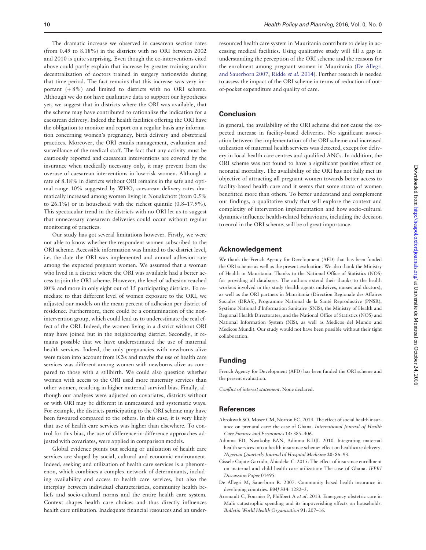<span id="page-9-0"></span>The dramatic increase we observed in caesarean section rates (from 0.49 to 8.18%) in the districts with no ORI between 2002 and 2010 is quite surprising. Even though the co-interventions cited above could partly explain that increase by greater training and/or decentralization of doctors trained in surgery nationwide during that time period. The fact remains that this increase was very important  $(+8%)$  and limited to districts with no ORI scheme. Although we do not have qualitative data to support our hypotheses yet, we suggest that in districts where the ORI was available, that the scheme may have contributed to rationalize the indication for a caesarean delivery. Indeed the health facilities offering the ORI have the obligation to monitor and report on a regular basis any information concerning women's pregnancy, birth delivery and obstetrical practices. Moreover, the ORI entails management, evaluation and surveillance of the medical staff. The fact that any activity must be cautiously reported and caesarean interventions are covered by the insurance when medically necessary only, it may prevent from the overuse of caesarean interventions in low-risk women. Although a rate of 8.18% in districts without ORI remains in the safe and optimal range 10% suggested by WHO, caesarean delivery rates dramatically increased among women living in Nouakchott (from 0.5% to 26.1%) or in household with the richest quintile (0.8–17.9%). This spectacular trend in the districts with no ORI let us to suggest that unnecessary caesarean deliveries could occur without regular monitoring of practices.

Our study has got several limitations however. Firstly, we were not able to know whether the respondent women subscribed to the ORI scheme. Accessible information was limited to the district level, i.e. the date the ORI was implemented and annual adhesion rate among the expected pregnant women. We assumed that a woman who lived in a district where the ORI was available had a better access to join the ORI scheme. However, the level of adhesion reached 80% and more in only eight out of 15 participating districts. To remediate to that different level of women exposure to the ORI, we adjusted our models on the mean percent of adhesion per district of residence. Furthermore, there could be a contamination of the nonintervention group, which could lead us to underestimate the real effect of the ORI. Indeed, the women living in a district without ORI may have joined but in the neighbouring district. Secondly, it remains possible that we have underestimated the use of maternal health services. Indeed, the only pregnancies with newborns alive were taken into account from ICSs and maybe the use of health care services was different among women with newborns alive as compared to those with a stillbirth. We could also question whether women with access to the ORI used more maternity services than other women, resulting in higher maternal survival bias. Finally, although our analyses were adjusted on covariates, districts without or with ORI may be different in unmeasured and systematic ways. For example, the districts participating to the ORI scheme may have been favoured compared to the others. In this case, it is very likely that use of health care services was higher than elsewhere. To control for this bias, the use of difference-in-difference approaches adjusted with covariates, were applied in comparison models.

Global evidence points out seeking or utilization of health care services are shaped by social, cultural and economic environment. Indeed, seeking and utilization of health care services is a phenomenon, which combines a complex network of determinants, including availability and access to health care services, but also the interplay between individual characteristics, community health beliefs and socio-cultural norms and the entire health care system. Context shapes health care choices and thus directly influences health care utilization. Inadequate financial resources and an under-

resourced health care system in Mauritania contribute to delay in accessing medical facilities. Using qualitative study will fill a gap in understanding the perception of the ORI scheme and the reasons for the enrolment among pregnant women in Mauritania (De Allegri and Sauerborn 2007; [Ridde](#page-10-0) et al. 2014). Further research is needed to assess the impact of the ORI scheme in terms of reduction of outof-pocket expenditure and quality of care.

# Conclusion

In general, the availability of the ORI scheme did not cause the expected increase in facility-based deliveries. No significant association between the implementation of the ORI scheme and increased utilization of maternal health services was detected, except for delivery in local health care centres and qualified ANCs. In addition, the ORI scheme was not found to have a significant positive effect on neonatal mortality. The availability of the ORI has not fully met its objective of attracting all pregnant women towards better access to facility-based health care and it seems that some strata of women benefitted more than others. To better understand and complement our findings, a qualitative study that will explore the context and complexity of intervention implementation and how socio-cultural dynamics influence health-related behaviours, including the decision to enrol in the ORI scheme, will be of great importance.

# Acknowledgement

We thank the French Agency for Development (AFD) that has been funded the ORI scheme as well as the present evaluation. We also thank the Ministry of Health in Mauritania. Thanks to the National Office of Statistics (NOS) for providing all databases. The authors extend their thanks to the health workers involved in this study (health agents midwives, nurses and doctors), as well as the ORI partners in Mauritania (Direction Regionale des Affaires Sociales (DRAS), Programme National de la Santé Reproductive (PNSR), Système National d'Information Sanitaire (SNIS), the Ministry of Health and Regional Health Directorates, and the National Office of Statistics (NOS) and National Information System (NIS), as well as Medicos del Mundo and Medicos Mundi). Our study would not have been possible without their tight collaboration.

# Funding

French Agency for Development (AFD) has been funded the ORI scheme and the present evaluation.

Conflict of interest statement. None declared.

# **References**

- Abrokwah SO, Moser CM, Norton EC. 2014. The effect of social health insurance on prenatal care: the case of Ghana. International Journal of Health Care Finance and Economics 14: 385–406.
- Adinma ED, Nwakoby BAN, Adinma B-DJI. 2010. Integrating maternal health services into a health insurance scheme: effect on healthcare delivery. Nigerian Quarterly Journal of Hospital Medicine 20: 86–93.
- Gissele Gajate-Garrido, Ahiadeke C. 2015. The effect of insurance enrollment on maternal and child health care utilization: The case of Ghana. IFPRI Discussion Paper 01495.
- De Allegri M, Sauerborn R. 2007. Community based health insurance in developing countries. BMJ 334: 1282–3.
- Arsenault C, Fournier P, Philibert A et al. 2013. Emergency obstetric care in Mali: catastrophic spending and its impoverishing effects on households. Bulletin World Health Organisation 91: 207–16.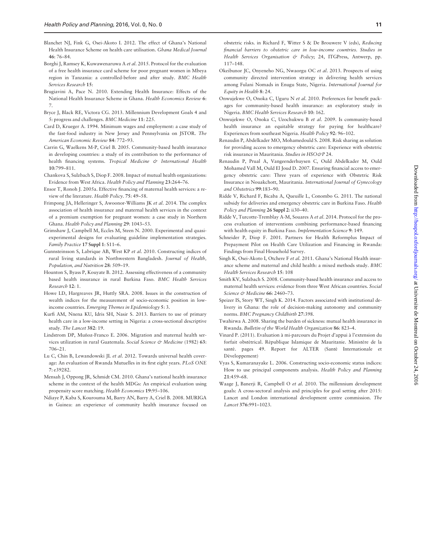- <span id="page-10-0"></span>Blanchet NJ, Fink G, Osei-Akoto I. 2012. The effect of Ghana's National Health Insurance Scheme on health care utilisation. Ghana Medical Journal 46: 76–84.
- Borghi J, Ramsey K, Kuwawenaruwa A et al. 2015. Protocol for the evaluation of a free health insurance card scheme for poor pregnant women in Mbeya region in Tanzania: a controlled-before and after study. BMC Health Services Research 15:
- Brugiavini A, Pace N. 2010. Extending Health Insurance: Effects of the National Health Insurance Scheme in Ghana. Health Economics Review 6: 7.
- Bryce J, Black RE, Victora CG. 2013. Millennium Development Goals 4 and 5: progress and challenges. BMC Medicine 11: 225.
- Card D, Krueger A. 1994. Minimum wages and employment: a case study of the fast-food industry in New Jersey and Pennsylvania on JSTOR. The American Economic Review 84: 772–93.
- Carrin G, Waelkens M-P, Criel B. 2005. Community-based health insurance in developing countries: a study of its contribution to the performance of health financing systems. Tropical Medicine & International Health 10:799–811.
- Chankova S, Sulzbach S, Diop F. 2008. Impact of mutual health organizations: Evidence from West Africa. Health Policy and Planning 23:264–76.
- Ensor T, Ronoh J. 2005a. Effective financing of maternal health services: a review of the literature. Health Policy. 75: 49–58.
- Frimpong JA, Helleringer S, Awoonor-Williams JK et al. 2014. The complex association of health insurance and maternal health services in the context of a premium exemption for pregnant women: a case study in Northern Ghana. Health Policy and Planning 29: 1043–53.
- Grimshaw J, Campbell M, Eccles M, Steen N. 2000. Experimental and quasiexperimental designs for evaluating guideline implementation strategies. Family Practice 17 Suppl 1: S11–6.
- Gunnsteinsson S, Labrique AB, West KP et al. 2010. Constructing indices of rural living standards in Northwestern Bangladesh. Journal of Health, Population, and Nutrition 28: 509–19.
- Hounton S, Byass P, Kouyate B. 2012. Assessing effectiveness of a community based health insurance in rural Burkina Faso. BMC Health Services Research 12: 1.
- Howe LD, Hargreaves JR, Huttly SRA. 2008. Issues in the construction of wealth indices for the measurement of socio-economic position in lowincome countries. Emerging Themes in Epidemiology 5: 3.
- Kurfi AM, Nnena KU, Idris SH, Nasir S. 2013. Barriers to use of primary health care in a low-income setting in Nigeria: a cross-sectional descriptive study. The Lancet 382: 19.
- Lindstrom DP, Muñoz-Franco E. 2006. Migration and maternal health services utilization in rural Guatemala. Social Science & Medicine (1982) 63: 706–21.
- Lu C, Chin B, Lewandowski JL et al. 2012. Towards universal health coverage: An evaluation of Rwanda Mutuelles in its first eight years. PLoS ONE 7: e39282.
- Mensah J, Oppong JR, Schmidt CM. 2010. Ghana's national health insurance scheme in the context of the health MDGs: An empirical evaluation using propensity score matching. Health Economics 19:95–106.
- Ndiaye P, Kaba S, Kourouma M, Barry AN, Barry A, Criel B. 2008. MURIGA in Guinea: an experience of community health insurance focused on

obstetric risks. in Richard F, Witter S & De Brouwere V (eds), Reducing financial barriers to obstetric care in low-income countries. Studies in Health Services Organisation & Policy; 24, ITGPress, Antwerp, pp. 117–148.

- Okeibunor JC, Onyeneho NG, Nwaorgu OC et al. 2013. Prospects of using community directed intervention strategy in delivering health services among Fulani Nomads in Enugu State, Nigeria. International Journal for Equity in Health 8: 24.
- Onwujekwe O, Onoka C, Uguru N et al. 2010. Preferences for benefit packages for community-based health insurance: an exploratory study in Nigeria. BMC Health Services Research 10: 162.
- Onwujekwe O, Onoka C, Uzochukwu B et al. 2009. Is community-based health insurance an equitable strategy for paying for healthcare? Experiences from southeast Nigeria. Health Policy 92: 96–102.
- Renaudin P, Abdelkader MO, Mohamedould S. 2008. Risk sharing as solution for providing access to emergency obstetric care: Experience with obstetric risk insurance in Mauritania. Studies in HSO&P 24.
- Renaudin P, Prual A, Vangeenderhuysen C, Ould Abdelkader M, Ould Mohamed Vall M, Ould El Joud D. 2007. Ensuring financial access to emergency obstetric care: Three years of experience with Obstetric Risk Insurance in Nouakchott, Mauritania. International Journal of Gynecology and Obstetrics 99:183–90.
- Ridde V, Richard F, Bicaba A, Queuille L, Conombo G. 2011. The national subsidy for deliveries and emergency obstetric care in Burkina Faso. Health Policy and Planning 26 Suppl 2: ii30-40.
- Ridde V, Turcotte-Tremblay A-M, Souares A et al. 2014. Protocol for the process evaluation of interventions combining performance-based financing with health equity in Burkina Faso. Implementation Science 9: 149.
- Schneider P, Diop F. 2001. Partners for Health Reformplus Impact of Prepayment Pilot on Health Care Utilization and Financing in Rwanda: Findings from Final Household Survey.
- Singh K, Osei-Akoto I, Otchere F et al. 2011. Ghana's National Health insurance scheme and maternal and child health: a mixed methods study. BMC Health Services Research 15: 108
- Smith KV, Sulzbach S. 2008. Community-based health insurance and access to maternal health services: evidence from three West African countries. Social Science & Medicine 66: 2460-73.
- Speizer IS, Story WT, Singh K. 2014. Factors associated with institutional delivery in Ghana: the role of decision-making autonomy and community norms. BMC Pregnancy Childbirth 27:398.
- Twahirwa A. 2008. Sharing the burden of sickness: mutual health insurance in Rwanda. Bulletin of the World Health Organization 86: 823–4.
- Vinard P. (2011). Evaluation à mi-parcours du Projet d'appui à l'extension du forfait obstétrical. République Islamique de Mauritanie. Ministère de la santé. pages 49. Report for ALTER (Santé Internationale et Développement)
- Vyas S, Kumaranayake L. 2006. Constructing socio-economic status indices: How to use principal components analysis. Health Policy and Planning 21:459–68.
- Waage J, Banerji R, Campbell O et al. 2010. The millennium development goals: A cross-sectoral analysis and principles for goal setting after 2015: Lancet and London international development centre commission. The Lancet 376:991–1023.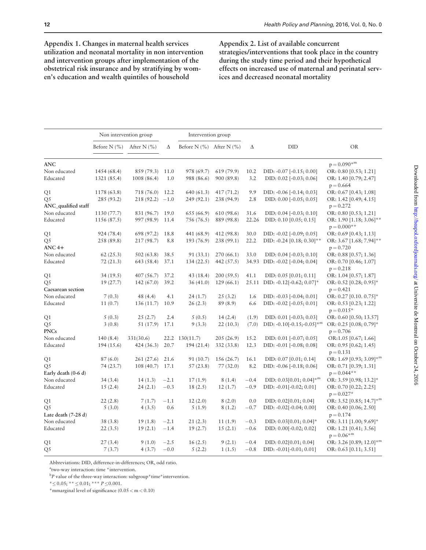Appendix 1. Changes in maternal health services utilization and neonatal mortality in non intervention and intervention groups after implementation of the obstetrical risk insurance and by stratifying by women's education and wealth quintiles of household

Appendix 2. List of available concurrent strategies/interventions that took place in the country during the study time period and their hypothetical effects on increased use of maternal and perinatal services and decreased neonatal mortality

|                           |                                  | Non intervention group |        | Intervention group               |            |        |                                       |                                                    |
|---------------------------|----------------------------------|------------------------|--------|----------------------------------|------------|--------|---------------------------------------|----------------------------------------------------|
|                           | Before N $(\% )$ After N $(\% )$ |                        | Δ      | Before N $(\% )$ After N $(\% )$ |            | Δ      | DID                                   | <b>OR</b>                                          |
| <b>ANC</b>                |                                  |                        |        |                                  |            |        |                                       | $p = 0.090*^{m}$                                   |
| Non educated              | 1454 (68.4)                      | 859 (79.3)             | 11.0   | 978 (69.7)                       | 619(79.9)  | 10.2   | $DID: -0.07$ $[-0.15; 0.00]$          | OR: 0.80 [0.53; 1.21]                              |
| Educated                  | 1321 (85.4)                      | 1008 (86.4)            | 1.0    | 988 (86.6)                       | 900 (89.8) | 3.2    | DID: $0.02$ [ $-0.03$ ; $0.06$ ]      | OR: 1.40 [0.79; 2.47]<br>$p = 0.664$               |
| Q1                        | 1178 (63.8)                      | 718 (76.0)             | 12.2   | 640 (61.3)                       | 417(71.2)  | 9.9    | DID: -0.06 [-0.14; 0.03]              | OR: 0.67 [0.43; 1.08]                              |
| Q5<br>ANC_qualified staff | 285 (93.2)                       | 218(92.2)              | $-1.0$ | 249 (92.1)                       | 238 (94.9) | 2.8    | DID: $0.00$ [ $-0.05$ ; $0.05$ ]      | OR: 1.42 $[0.49; 4.15]$<br>$p = 0.272$             |
| Non educated              | 1130 (77.7)                      | 831 (96.7)             | 19.0   | 655 (66.9)                       | 610 (98.6) | 31.6   | DID: $0.04$ [ $-0.03$ ; $0.10$ ]      | OR: 0.80 [0.53; 1.21]                              |
| Educated                  | 1156 (87.5)                      | 997 (98.9)             | 11.4   | 756 (76.5)                       | 889 (98.8) | 22.26  | DID: 0.10 [0.05; 0.15]                | OR: 1.90 [1.18; 3.06]**<br>$p = 0.000$ **          |
| Q1                        | 924 (78.4)                       | 698 (97.2)             | 18.8   | 441 (68.9)                       | 412 (98.8) | 30.0   | DID: -0.02 [-0.09; 0.05]              | OR: $0.69$ [0.43; 1.13]                            |
| Q5<br>$ANC$ 4+            | 258 (89.8)                       | 217 (98.7)             | 8.8    | 193 (76.9)                       | 238 (99.1) | 22.2   | DID: $-0.24$ [0.18; 0.30]**           | OR: 3.67 [1.68; 7.94]**<br>$p = 0.720$             |
| Non educated              | 62(25.3)                         | 502(63.8)              | 38.5   | 91 (33.1)                        | 270(66.1)  | 33.0   | DID: $0.04$ [ $-0.03$ ; $0.10$ ]      | OR: 0.88 [0.57; 1.36]                              |
| Educated                  | 72(21.3)                         | 643 (58.4)             | 37.1   | 134(22.5)                        | 442 (57.5) | 34.93  | DID: -0.02 [-0.04; 0.04]              | OR: 0.70 [0.46; 1.07]<br>$p = 0.218$               |
| Q1                        | 34(19.5)                         | 407(56.7)              | 37.2   | 43 (18.4)                        | 200(59.5)  | 41.1   | $DID: 0.05$ [0.01; 0.11]              | OR: 1.04 [0.57; 1.87]                              |
| Q5<br>Caesarean section   | 19 (27.7)                        | 142(67.0)              | 39.2   | 36(41.0)                         | 129(66.1)  |        | 25.11 DID: -0.12[-0.62; 0.07]*        | OR: $0.52$ [0.28; $0.95$ ]*<br>$p = 0.421$         |
| Non educated              | 7(0.3)                           | 48 (4.4)               | 4.1    | 24(1.7)                          | 25(3.2)    | 1.6    | DID: $-0.03$ $[-0.04; 0.01]$          | OR: 0.27 [0.10. 0.75]*                             |
| Educated                  | 11(0.7)                          | 136 (11.7)             | 10.9   | 26(2.3)                          | 89(8.9)    | 6.6    | DID: -0.02 [-0.05; 0.01]              | OR: 0.53 [0.23; 1.22]<br>$p = 0.015*$              |
| Q1                        | 5(0.3)                           | 25(2.7)                | 2.4    | 5(0.5)                           | 14(2.4)    | (1.9)  | DID: $0.01$ [ $-0.03$ ; $0.03$ ]      | OR: 0.60 [0.50; 13.57]                             |
| Q5<br><b>PNCs</b>         | 3(0.8)                           | 51 (17.9)              | 17.1   | 9(3.3)                           | 22(10.3)   | (7.0)  | DID: -0.10[-0.15;-0.05]*m             | OR: 0.25 [0.08; 0.79]*<br>$p = 0.706$              |
| Non educated              | 140(8.4)                         | 331(30.6)              |        | 22.2 130(11.7)                   | 205 (26.9) | 15.2   | DID: 0.01 [-0.07; 0.05]               | OR:1.05 [0.67; 1.66]                               |
| Educated                  | 194 (15.6)                       | 424(36.3)              | 20.7   | 194 (21.4)                       | 332 (33.8) | 12.3   | DID: -0.01 [-0.08; 0.08]              | OR: $0.95$ [0.62; 1.45]<br>$p = 0.131$             |
| Q1                        | 87(6.0)                          | 261(27.6)              | 21.6   | 91 (10.7)                        | 156 (26.7) | 16.1   | DID: 0.07 [0.01; 0.14]                | OR: 1.69 [0.93; 3.09]*m                            |
| Q5<br>Early death (0-6 d) | 74 (23.7)                        | 108(40.7)              | 17.1   | 57(23.8)                         | 77(32.0)   | 8.2    | DID: $-0.06$ $[-0.18; 0.06]$          | OR: 0.71 [0.39; 1.31]<br>$p = 0.044$ **            |
| Non educated              | 34(3.4)                          | 14(1.3)                | $-2.1$ | 17(1.9)                          | 8(1.4)     | $-0.4$ | DID: $0.03[0.01; 0.04]$ <sup>*m</sup> | OR: 3.59 [0.98; 13.2]*                             |
| Educated                  | 15(2.4)                          | 24(2.1)                | $-0.3$ | 18(2.5)                          | 12(1.7)    | $-0.9$ | DID: $-0.01[-0.02; 0.01]$             | OR: $0.70$ [0.22; 2.25]<br>$p = 0.027*$            |
| Q1                        | 22(2.8)                          | 7(1.7)                 | $-1.1$ | 12(2.0)                          | 8(2.0)     | 0.0    | DID: 0.02[0.01; 0.04]                 | OR: 3.52 [0.85; 14.7] $*^m$                        |
| Q5<br>Late death (7-28 d) | 5(3.0)                           | 4(3.5)                 | 0.6    | 5(1.9)                           | 8(1.2)     | $-0.7$ | $DID: -0.02[-0.04; 0.00]$             | OR: 0.40 $[0.06; 2.50]$<br>$p = 0.174$             |
| Non educated              | 38(3.8)                          | 19(1.8)                | $-2.1$ | 21(2.3)                          | 11(1.9)    | $-0.3$ | DID: $0.03[0.01; 0.04]$ *             | OR: 3.11 [1.00; 9.69]*                             |
| Educated                  | 22(3.5)                          | 19(2.1)                | $-1.4$ | 19(2.7)                          | 15(2.1)    | $-0.6$ | $DID: 0.00[-0.02; 0.02]$              | OR: 1.21 [0.41; 3.56]<br>$p = 0.06$ * <sup>m</sup> |
| Q1                        | 27(3.4)                          | 9(1.0)                 | $-2.5$ | 16(2.5)                          | 9(2.1)     | $-0.4$ | DID: 0.02[0.01; 0.04]                 | OR: 3.26 [0.89; 12.0]*m                            |
| Q5                        | 7(3.7)                           | 4(3.7)                 | $-0.0$ | 5(2.2)                           | 1(1.5)     | $-0.8$ | $DID: -0.01[-0.01; 0.01]$             | OR: 0.63 [0.11; 3.51]                              |

Abbreviations: DID, difference-in-differences; OR, odd ratio.

a two-way interaction: time \*intervention.

 ${}^{b}P$  value of the three-way interaction: subgroup \* time \* intervention.

 $* \leq 0.05$ ; \*\*  $\leq 0.01$ ; \*\*\*  $P \leq 0.001$ .

\*mmarginal level of significance (0.05 < m < 0.10)